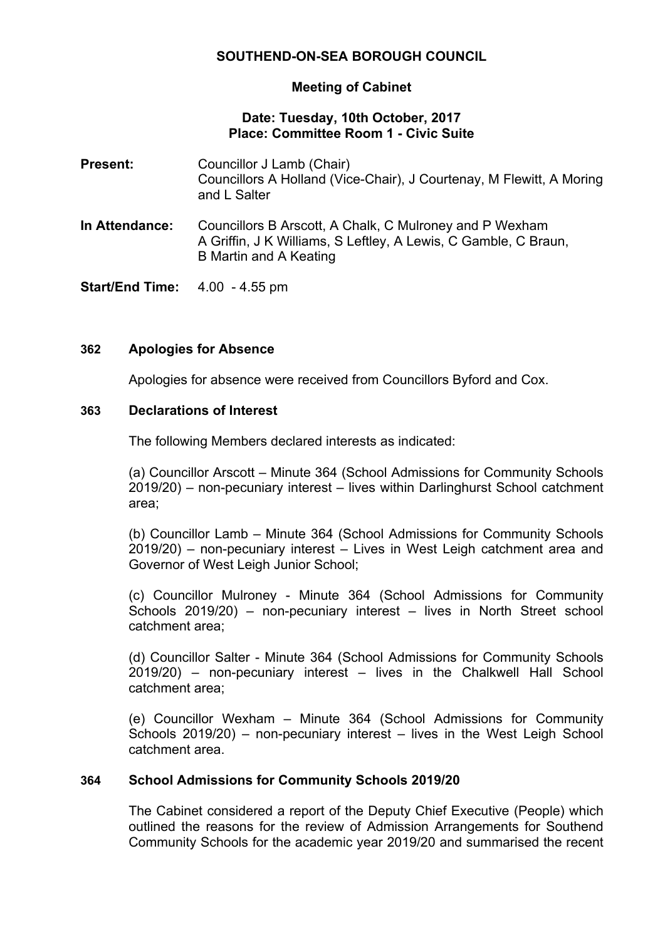# **SOUTHEND-ON-SEA BOROUGH COUNCIL**

### **Meeting of Cabinet**

### **Date: Tuesday, 10th October, 2017 Place: Committee Room 1 - Civic Suite**

- **Present:** Councillor J Lamb (Chair) Councillors A Holland (Vice-Chair), J Courtenay, M Flewitt, A Moring and L Salter
- **In Attendance:** Councillors B Arscott, A Chalk, C Mulroney and P Wexham A Griffin, J K Williams, S Leftley, A Lewis, C Gamble, C Braun, B Martin and A Keating

**Start/End Time:** 4.00 - 4.55 pm

### **362 Apologies for Absence**

Apologies for absence were received from Councillors Byford and Cox.

### **363 Declarations of Interest**

The following Members declared interests as indicated:

(a) Councillor Arscott – Minute 364 (School Admissions for Community Schools 2019/20) – non-pecuniary interest – lives within Darlinghurst School catchment area;

(b) Councillor Lamb – Minute 364 (School Admissions for Community Schools 2019/20) – non-pecuniary interest – Lives in West Leigh catchment area and Governor of West Leigh Junior School;

(c) Councillor Mulroney - Minute 364 (School Admissions for Community Schools 2019/20) – non-pecuniary interest – lives in North Street school catchment area;

(d) Councillor Salter - Minute 364 (School Admissions for Community Schools 2019/20) – non-pecuniary interest – lives in the Chalkwell Hall School catchment area;

(e) Councillor Wexham – Minute 364 (School Admissions for Community Schools 2019/20) – non-pecuniary interest – lives in the West Leigh School catchment area.

## **364 School Admissions for Community Schools 2019/20**

The Cabinet considered a report of the Deputy Chief Executive (People) which outlined the reasons for the review of Admission Arrangements for Southend Community Schools for the academic year 2019/20 and summarised the recent